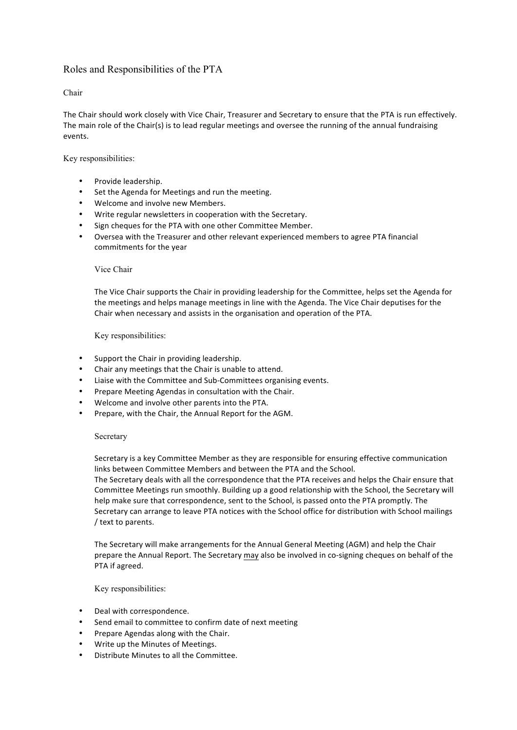# Roles and Responsibilities of the PTA

# Chair

The Chair should work closely with Vice Chair, Treasurer and Secretary to ensure that the PTA is run effectively. The main role of the Chair(s) is to lead regular meetings and oversee the running of the annual fundraising events. 

Key responsibilities:

- Provide leadership.
- Set the Agenda for Meetings and run the meeting.
- Welcome and involve new Members.
- Write regular newsletters in cooperation with the Secretary.
- Sign cheques for the PTA with one other Committee Member.
- Oversea with the Treasurer and other relevant experienced members to agree PTA financial commitments for the year

# Vice Chair

The Vice Chair supports the Chair in providing leadership for the Committee, helps set the Agenda for the meetings and helps manage meetings in line with the Agenda. The Vice Chair deputises for the Chair when necessary and assists in the organisation and operation of the PTA.

Key responsibilities:

- Support the Chair in providing leadership.
- Chair any meetings that the Chair is unable to attend.
- Liaise with the Committee and Sub-Committees organising events.
- Prepare Meeting Agendas in consultation with the Chair.
- Welcome and involve other parents into the PTA.
- Prepare, with the Chair, the Annual Report for the AGM.

# Secretary

Secretary is a key Committee Member as they are responsible for ensuring effective communication links between Committee Members and between the PTA and the School. The Secretary deals with all the correspondence that the PTA receives and helps the Chair ensure that Committee Meetings run smoothly. Building up a good relationship with the School, the Secretary will help make sure that correspondence, sent to the School, is passed onto the PTA promptly. The Secretary can arrange to leave PTA notices with the School office for distribution with School mailings / text to parents.

The Secretary will make arrangements for the Annual General Meeting (AGM) and help the Chair prepare the Annual Report. The Secretary may also be involved in co-signing cheques on behalf of the PTA if agreed.

Key responsibilities:

- Deal with correspondence.
- Send email to committee to confirm date of next meeting
- Prepare Agendas along with the Chair.
- Write up the Minutes of Meetings.
- Distribute Minutes to all the Committee.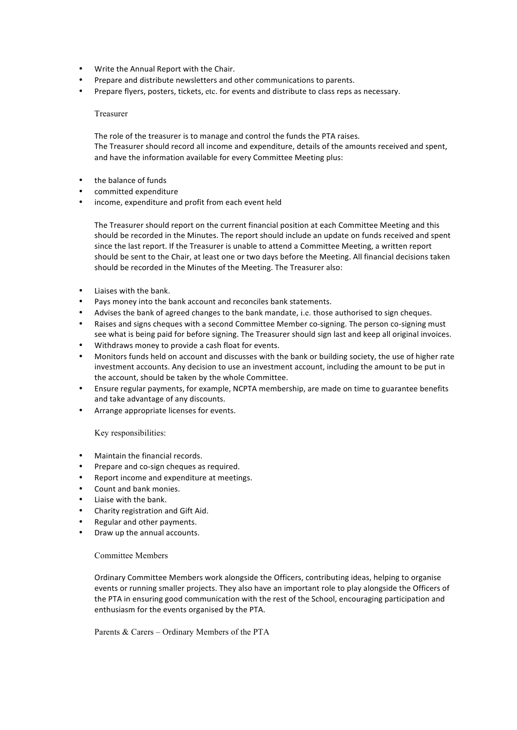- Write the Annual Report with the Chair.
- Prepare and distribute newsletters and other communications to parents.
- Prepare flyers, posters, tickets, etc. for events and distribute to class reps as necessary.

#### Treasurer

The role of the treasurer is to manage and control the funds the PTA raises. The Treasurer should record all income and expenditure, details of the amounts received and spent, and have the information available for every Committee Meeting plus:

- the balance of funds
- committed expenditure
- income, expenditure and profit from each event held

The Treasurer should report on the current financial position at each Committee Meeting and this should be recorded in the Minutes. The report should include an update on funds received and spent since the last report. If the Treasurer is unable to attend a Committee Meeting, a written report should be sent to the Chair, at least one or two days before the Meeting. All financial decisions taken should be recorded in the Minutes of the Meeting. The Treasurer also:

- Liaises with the bank.
- Pays money into the bank account and reconciles bank statements.
- Advises the bank of agreed changes to the bank mandate, i.e. those authorised to sign cheques.
- Raises and signs cheques with a second Committee Member co-signing. The person co-signing must see what is being paid for before signing. The Treasurer should sign last and keep all original invoices.
- Withdraws money to provide a cash float for events.
- Monitors funds held on account and discusses with the bank or building society, the use of higher rate investment accounts. Any decision to use an investment account, including the amount to be put in the account, should be taken by the whole Committee.
- Ensure regular payments, for example, NCPTA membership, are made on time to guarantee benefits and take advantage of any discounts.
- Arrange appropriate licenses for events.

# Key responsibilities:

- Maintain the financial records.
- Prepare and co-sign cheques as required.
- Report income and expenditure at meetings.
- Count and bank monies.
- Liaise with the bank.
- Charity registration and Gift Aid.
- Regular and other payments.
- Draw up the annual accounts.

# Committee Members

Ordinary Committee Members work alongside the Officers, contributing ideas, helping to organise events or running smaller projects. They also have an important role to play alongside the Officers of the PTA in ensuring good communication with the rest of the School, encouraging participation and enthusiasm for the events organised by the PTA.

Parents & Carers – Ordinary Members of the PTA